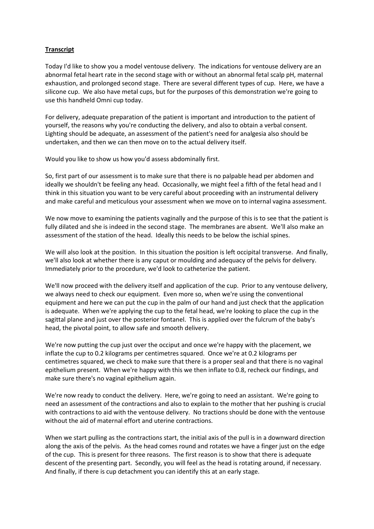## **Transcript**

Today I'd like to show you a model ventouse delivery. The indications for ventouse delivery are an abnormal fetal heart rate in the second stage with or without an abnormal fetal scalp pH, maternal exhaustion, and prolonged second stage. There are several different types of cup. Here, we have a silicone cup. We also have metal cups, but for the purposes of this demonstration we're going to use this handheld Omni cup today.

For delivery, adequate preparation of the patient is important and introduction to the patient of yourself, the reasons why you're conducting the delivery, and also to obtain a verbal consent. Lighting should be adequate, an assessment of the patient's need for analgesia also should be undertaken, and then we can then move on to the actual delivery itself.

Would you like to show us how you'd assess abdominally first.

So, first part of our assessment is to make sure that there is no palpable head per abdomen and ideally we shouldn't be feeling any head. Occasionally, we might feel a fifth of the fetal head and I think in this situation you want to be very careful about proceeding with an instrumental delivery and make careful and meticulous your assessment when we move on to internal vagina assessment.

We now move to examining the patients vaginally and the purpose of this is to see that the patient is fully dilated and she is indeed in the second stage. The membranes are absent. We'll also make an assessment of the station of the head. Ideally this needs to be below the ischial spines.

We will also look at the position. In this situation the position is left occipital transverse. And finally, we'll also look at whether there is any caput or moulding and adequacy of the pelvis for delivery. Immediately prior to the procedure, we'd look to catheterize the patient.

We'll now proceed with the delivery itself and application of the cup. Prior to any ventouse delivery, we always need to check our equipment. Even more so, when we're using the conventional equipment and here we can put the cup in the palm of our hand and just check that the application is adequate. When we're applying the cup to the fetal head, we're looking to place the cup in the sagittal plane and just over the posterior fontanel. This is applied over the fulcrum of the baby's head, the pivotal point, to allow safe and smooth delivery.

We're now putting the cup just over the occiput and once we're happy with the placement, we inflate the cup to 0.2 kilograms per centimetres squared. Once we're at 0.2 kilograms per centimetres squared, we check to make sure that there is a proper seal and that there is no vaginal epithelium present. When we're happy with this we then inflate to 0.8, recheck our findings, and make sure there's no vaginal epithelium again.

We're now ready to conduct the delivery. Here, we're going to need an assistant. We're going to need an assessment of the contractions and also to explain to the mother that her pushing is crucial with contractions to aid with the ventouse delivery. No tractions should be done with the ventouse without the aid of maternal effort and uterine contractions.

When we start pulling as the contractions start, the initial axis of the pull is in a downward direction along the axis of the pelvis. As the head comes round and rotates we have a finger just on the edge of the cup. This is present for three reasons. The first reason is to show that there is adequate descent of the presenting part. Secondly, you will feel as the head is rotating around, if necessary. And finally, if there is cup detachment you can identify this at an early stage.